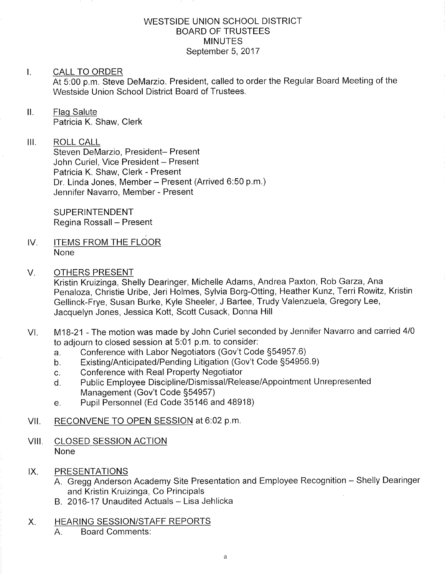### WESTSIDE UNION SCHOOL DISTRICT BOARD OF TRUSTEES **MINUTES** September 5, 2017

## I. CALL TO ORDER

At 5:00 p.m. Steve DeMarzio. President, called to order the Regular Board Meeting of the Westside Union School District Board of Trustees.

## ll. Flaq Salute Patricia K. Shaw, Clerk

## III. ROLL CALL

Steven DeMarzio, President- Present John Curiel, Vice President - Present Patricia K. Shaw, Clerk - Present Dr. Linda Jones, Member - Present (Arrived 6:50 p.m.) Jennifer Navarro, Member - Present

SUPERINTENDENT Regina Rossall - Present

IV. ITEMS FROM THE FLOOR None

#### V. OTHERS PRESENT

Kristin Kruizinga, Shelly Dearinger, Michelle Adams, Andrea Paxton, Rob Garza, Ana Penaloza, Christie Uribe, Jeri Holmes, Sylvia Borg-Otting, Heather Kunz, Terri Rowitz, Kristin Gellinck-Frye, Susan Burke, Kyle Sheeler, J Barlee, Trudy Valenzuela, Gregory Lee, Jacquelyn Jones, Jessica Kott, Scott Cusack, Donna Hill

- VI. M18-21 The motion was made by John Curiel seconded by Jennifer Navarro and carried 4/0 to adjourn to closed session at 5:01 p.m. to consider:<br>a. Conference with Labor Negotiators (Gov't Code §54957.6)
	-
	- a. Conference with Labor Negotiators (Gov't Code §54957.6)<br>b. Existing/Anticipated/Pending Litigation (Gov't Code §54956.9)<br>c. Conference with Real Property Negotiator
	-
	- c. Conference with Real Property Negotiator<br>d. Public Employee Discipline/Dismissal/Release/Appointment Unrepresented Management (Gov't Code 554957)
	- e. Pupil Personnel (Ed Code 35146 and 48918)

## VII. RECONVENE TO OPEN SESSION at 6:02 p.m.

- VIII, CLOSED SESSION ACTION None
- IX. PRESENTATIONS
	- A. Gregg Anderson Academy Site Presentation and Employee Recognition Shelly Dearinger and Kristin Kruizinga, Co Principals
	- B. 2016-17 Unaudited Actuals Lisa Jehlicka
- X. HEARING SESSION/STAFF REPORTS
	- A. Board Comments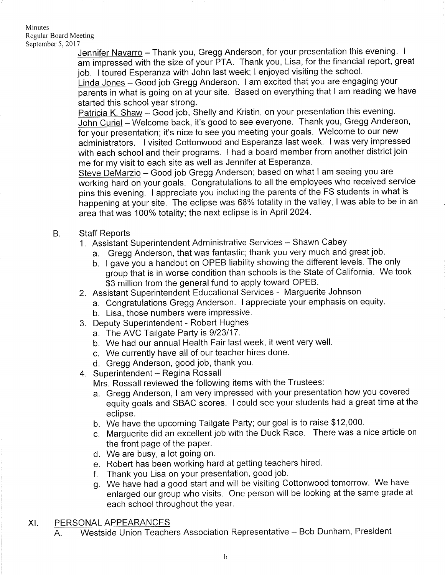#### Minutes Regular Board Meeting September 5, 2017

Jennifer Navarro - Thank you, Gregg Anderson, for your presentation this evening. I am impressed with the size of your PTA. Thank you, Lisa, for the financial report, great job. I toured Esperanza with John last week; I enjoyed visiting the school.

Linda Jones - Good job Gregg Anderson. I am excited that you are engaging your parents in what is going on at your site. Based on everything that I am reading we have started this school year strong

Patricia K. Shaw - Good job, Shelly and Kristin, on your presentation this evening. John Curiel - Welcome back, it's good to see everyone. Thank you, Gregg Anderson, for your presentation; it's nice to see you meeting your goals. Welcome to our new administrators. I visited Cottonwood and Esperanza last week. I was very impressed with each school and their programs. I had a board member from another district join me for my visit to each site as well as Jennifer at Esperanza.

Steve DeMarzio - Good job Gregg Anderson; based on what I am seeing you are working hard on your goals. Congratulations to all the employees who received service pins this evening. I appreciate you including the parents of the FS students in what is happening at your site. The eclipse was 68% totality in the valley, <sup>I</sup>was able to be in an area that was 100% totality; the next eclipse is in April 2024.

- **Staff Reports** B
	-
	- 1. Assistant Superintendent Administrative Services Shawn Cabey<br>a. Gregg Anderson, that was fantastic; thank you very much and great job.
		- b. I gave you a handout on OPEB liability showing the different levels. The only group that is in worse condition than schools is the State of California. We took \$3 million from the general fund to apply toward OPEB.
	- 2. Assistant Superintendent Educational Services Marguerite Johnson
		- a. Congratulations Gregg Anderson. I appreciate your emphasis on equity.<br>b. Lisa, those numbers were impressive.
		-
	- 3. Deputy Superintendent Robert Hughes
		- a. The AVC Tailgate Party is 9123117.
		- b. We had our annual Health Fair last week, it went very well.
		- c. We currently have all of our teacher hires done.
		- d. Gregg Anderson, good job, thank you.
	- 4. Superintendent Regina Rossall

Mrs. Rossall reviewed the following items with the Trustees:

- a. Gregg Anderson, I am very impressed with your presentation how you covered equity goals and SBAC scores. I could see your students had a great time at the eclipse.
- b. We have the upcoming Tailgate Party; our goal is to raise \$12,000.
- c. Marguerite did an excellent job with the Duck Race. There was a nice article on the front page of the paper.
- 
- d. We are busy, a lot going on.<br>e. Robert has been working hard at getting teachers hired.
- f. Thank you Lisa on your presentation, good job.
- g. We have had a good start and will be visiting Cottonwood tomorrow. We have enlarged our group who visits. One person will be looking at the same grade at each school throughout the year.
- XI. PERSONAL APPEARANCES
	- A. Westside Union Teachers Association Representative Bob Dunham, President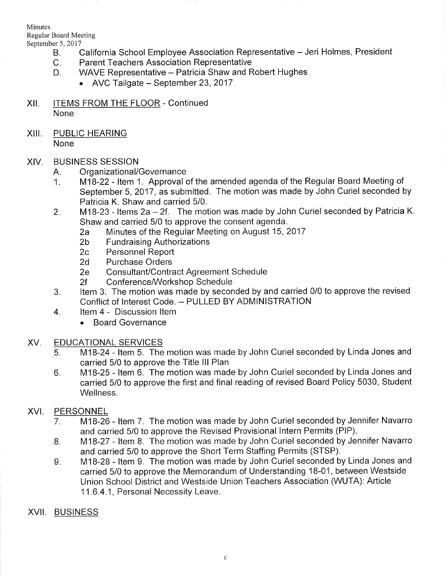Minutes Regular Board Meeting

- September 5, 2017<br>B. California School Employee Association Representative Jeri Holmes, President<br>C. Parent Teachers Association Representative<br>D. WAVE Representative Patricia Shaw and Robert Hughes
	-
	- - AVC Tailgate September 23, 2017
- XII. **ITEMS FROM THE FLOOR Continued** None
- XIII. PUBLIC HEARING None

## XIV. BUSINESS SESSION

- 
- A. Organizational/Governance<br>1. M18-22 Item 1. Approval of the amended agenda of the Regular Board Meeting of September 5,2017, as submitted. The motion was made by John Curiel seconded by Patricia K. Shaw and carried 5/0.
- 2. M18-23 Items  $2a 2f$ . The motion was made by John Curiel seconded by Patricia K.<br>Shaw and carried 5/0 to approve the consent agenda.
	- Shaw 20 to approve the Regular Meeting on August 15, 2017<br>19 Tundraising Authorizations 2c Personnel Report 2d Purchase Orders
	-
	-
	-
	-
	-
- 2e Consultant/Contract Agreement Schedule<br>2f Conference/Workshop Schedule<br>3. ltem 3. The motion was made by seconded by and carried 0/0 to approve the revised Conflict of Interest Code. - PULLED BY ADMINISTRATION<br>4. ltem 4 - Discussion Item
- - . Board Governance

# XV. EDUCATIONAL SERVICES

- 5. M18-24 Item 5. The motion was made by John Curiel seconded by Linda Jones and carried 5/0 to approve the Title lll Plan
- M18-25 ltem 6. The motion was made by John Curiel seconded by Linda Jones and carried 5/0 to approve the first and final reading of revised Board Policy 5030, Student Wellness. 6

# XVI. PERSONNEL

- M18-26 ltem <sup>7</sup>. The motion was made by John Curiel seconded by Jennifer Navarro and carried 5/0 to approve the Revised Provisional lntern Permits (PlP). 7
- M18-27 Item 8. The motion was made by John Curiel seconded by Jennifer Navarro and carried 5/0 to approve the Short Term Staffing Permits (STSP). B
- M1B-28 ltem 9. The motion was made by John Curiel seconded by Linda Jones and carried 5/0 to approve the Memorandum of Understanding 18-01, between Westside Union School District and Westside Union Teachers Association (WUTA): Article <sup>1</sup>1.6.4.1, Personal Necessity Leave. o
- XVII. BUSINESS